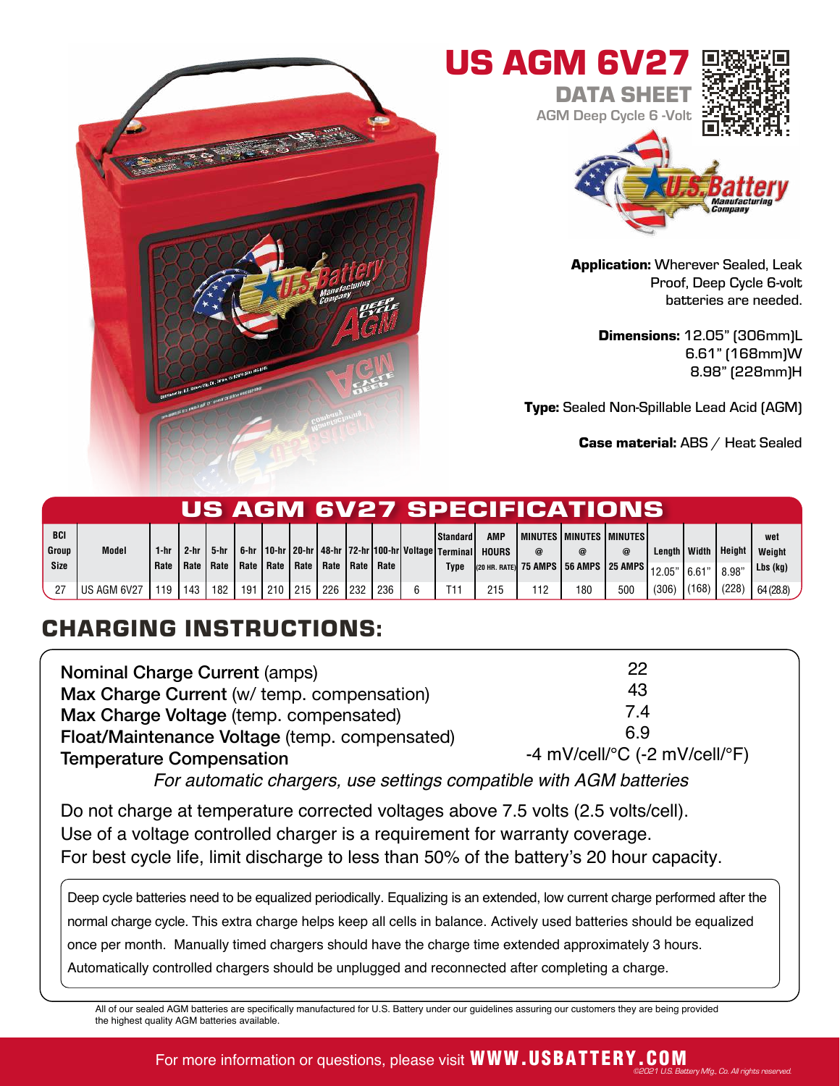



Application: Wherever Sealed, Leak Proof, Deep Cycle 6-volt batteries are needed.

> Dimensions: 12.05" (306mm)L 6.61" (168mm)W 8.98" (228mm)H

Type: Sealed Non-Spillable Lead Acid (AGM)

Case material: ABS / Heat Sealed

|               |              |              |        |        |     |            |                                                       |      |     |                                                                                     |              |     | US AGM 6V27 SPECIFICATIONS'                                                                                           |     |                |        |                        |                    |
|---------------|--------------|--------------|--------|--------|-----|------------|-------------------------------------------------------|------|-----|-------------------------------------------------------------------------------------|--------------|-----|-----------------------------------------------------------------------------------------------------------------------|-----|----------------|--------|------------------------|--------------------|
| <b>BCI</b>    |              |              |        |        |     |            |                                                       |      |     | Standard I                                                                          | AMP          |     | l minutes i minutes i minutes i                                                                                       |     |                |        |                        | wet                |
| Group<br>Size | <b>Model</b> | 1-hr<br>Rate | $2-hr$ | 5-hr I |     |            | Rate   Rate   Rate   Rate   Rate   Rate   Rate   Rate |      |     | 6-hr   10-hr   20-hr   48-hr   72-hr   100-hr   Voltage   Terminal  <br><b>Type</b> | <b>HOURS</b> | @   | $\left _{\left(20\text{ HR. RATE}\right)}\right $ 75 AMPS $\left $ 56 AMPS $\right $ 25 AMPS $\left _{12.05} \right $ | @   | Length   Width | 16.61" | <b>Height</b><br>8.98" | Weight<br>Lbs (kg) |
|               | US AGM 6V27  | 119          | 143    | 182    | 191 | $1210$ 215 | 226                                                   | 1232 | 236 | T11                                                                                 | 215          | 112 | 180                                                                                                                   | 500 | (306)          | (168)  | (228)                  | 64(28.8)           |

## CHARGING INSTRUCTIONS:

| <b>Nominal Charge Current (amps)</b>          | 22                                                      |
|-----------------------------------------------|---------------------------------------------------------|
| Max Charge Current (w/ temp. compensation)    | 43                                                      |
| Max Charge Voltage (temp. compensated)        | 7.4                                                     |
| Float/Maintenance Voltage (temp. compensated) | 69                                                      |
| <b>Temperature Compensation</b>               | -4 mV/cell/ ${}^{\circ}$ C (-2 mV/cell/ ${}^{\circ}$ F) |

For automatic chargers, use settings compatible with AGM batteries

Do not charge at temperature corrected voltages above 7.5 volts (2.5 volts/cell). Use of a voltage controlled charger is a requirement for warranty coverage. For best cycle life, limit discharge to less than 50% of the battery's 20 hour capacity.

Deep cycle batteries need to be equalized periodically. Equalizing is an extended, low current charge performed after the normal charge cycle. This extra charge helps keep all cells in balance. Actively used batteries should be equalized once per month. Manually timed chargers should have the charge time extended approximately 3 hours. Automatically controlled chargers should be unplugged and reconnected after completing a charge.

All of our sealed AGM batteries are specifically manufactured for U.S. Battery under our guidelines assuring our customers they are being provided the highest quality AGM batteries available.

## For more information or questions, please visit WWW.USBATTERY.COM ©2021 U.S. Battery Mfg., Co. All rights reserved.